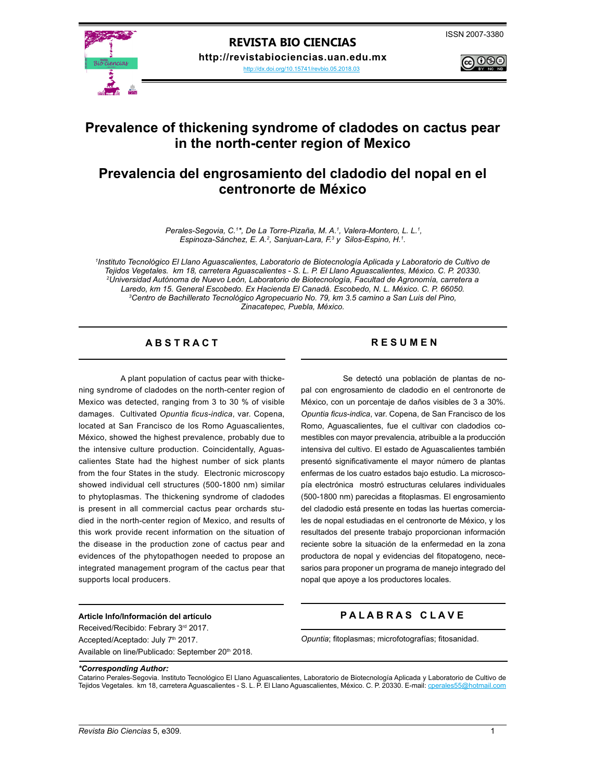

<http://dx.doi.org/10.15741/revbio.05.2018.03>



# **Prevalence of thickening syndrome of cladodes on cactus pear in the north-center region of Mexico**

# **Prevalencia del engrosamiento del cladodio del nopal en el centronorte de México**

*Perales-Segovia, C.<sup>1\*</sup>, De La Torre-Pizaña, M. A.<sup>1</sup>, Valera-Montero, L. L.<sup>1</sup>,* Espinoza-Sánchez, E. A.<sup>2</sup>, Sanjuan-Lara, F.<sup>3</sup> y Silos-Espino, H.<sup>1</sup>.

*1 Instituto Tecnológico El Llano Aguascalientes, Laboratorio de Biotecnología Aplicada y Laboratorio de Cultivo de Tejidos Vegetales. km 18, carretera Aguascalientes - S. L. P. El Llano Aguascalientes, México. C. P. 20330. 2 Universidad Autónoma de Nuevo León, Laboratorio de Biotecnología, Facultad de Agronomía, carretera a Laredo, km 15. General Escobedo. Ex Hacienda El Canadá. Escobedo, N. L. México. C. P. 66050. 3 Centro de Bachillerato Tecnológico Agropecuario No. 79, km 3.5 camino a San Luis del Pino, Zinacatepec, Puebla, México.*

# A B S T R A C T RESUMEN

A plant population of cactus pear with thickening syndrome of cladodes on the north-center region of Mexico was detected, ranging from 3 to 30 % of visible damages. Cultivated *Opuntia ficus-indica*, var. Copena, located at San Francisco de los Romo Aguascalientes, México, showed the highest prevalence, probably due to the intensive culture production. Coincidentally, Aguascalientes State had the highest number of sick plants from the four States in the study. Electronic microscopy showed individual cell structures (500-1800 nm) similar to phytoplasmas. The thickening syndrome of cladodes is present in all commercial cactus pear orchards studied in the north-center region of Mexico, and results of this work provide recent information on the situation of the disease in the production zone of cactus pear and evidences of the phytopathogen needed to propose an integrated management program of the cactus pear that supports local producers.

Se detectó una población de plantas de nopal con engrosamiento de cladodio en el centronorte de México, con un porcentaje de daños visibles de 3 a 30%. *Opuntia ficus-indica*, var. Copena, de San Francisco de los Romo, Aguascalientes, fue el cultivar con cladodios comestibles con mayor prevalencia, atribuible a la producción intensiva del cultivo. El estado de Aguascalientes también presentó significativamente el mayor número de plantas enfermas de los cuatro estados bajo estudio. La microscopía electrónica mostró estructuras celulares individuales (500-1800 nm) parecidas a fitoplasmas. El engrosamiento del cladodio está presente en todas las huertas comerciales de nopal estudiadas en el centronorte de México, y los resultados del presente trabajo proporcionan información reciente sobre la situación de la enfermedad en la zona productora de nopal y evidencias del fitopatogeno, necesarios para proponer un programa de manejo integrado del nopal que apoye a los productores locales.

### **Article Info/Información del artículo**

Received/Recibido: Febrary 3rd 2017. Accepted/Aceptado: July 7<sup>th</sup> 2017. Available on line/Publicado: September 20<sup>th</sup> 2018.

# **P A L A B R A S C L A V E**

*Opuntia*; fitoplasmas; microfotografías; fitosanidad.

#### *\*Corresponding Author:*

Catarino Perales-Segovia. Instituto Tecnológico El Llano Aguascalientes, Laboratorio de Biotecnología Aplicada y Laboratorio de Cultivo de Tejidos Vegetales. km 18, carretera Aguascalientes - S. L. P. El Llano Aguascalientes, México. C. P. 20330. E-mail: cperales55@hotmail.com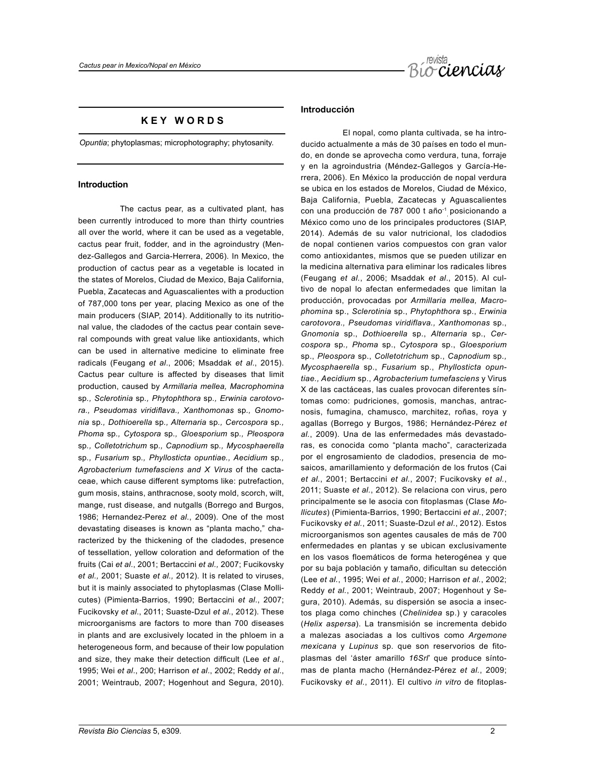

# **K E Y W O R D S**

*Opuntia*; phytoplasmas; microphotography; phytosanity.

### **Introduction**

The cactus pear, as a cultivated plant, has been currently introduced to more than thirty countries all over the world, where it can be used as a vegetable, cactus pear fruit, fodder, and in the agroindustry (Mendez-Gallegos and Garcia-Herrera, 2006). In Mexico, the production of cactus pear as a vegetable is located in the states of Morelos, Ciudad de Mexico, Baja California, Puebla, Zacatecas and Aguascalientes with a production of 787,000 tons per year, placing Mexico as one of the main producers (SIAP, 2014). Additionally to its nutritional value, the cladodes of the cactus pear contain several compounds with great value like antioxidants, which can be used in alternative medicine to eliminate free radicals (Feugang *et al*., 2006; Msaddak *et al*., 2015). Cactus pear culture is affected by diseases that limit production, caused by *Armillaria mellea, Macrophomina*  sp*., Sclerotinia* sp*., Phytophthora* sp*., Erwinia carotovora., Pseudomas viridiflava., Xanthomonas* sp*., Gnomonia* sp*., Dothioerella* sp*., Alternaria* sp*., Cercospora* sp*., Phoma* sp*., Cytospora* sp*., Gloesporium* sp*., Pleospora*  sp*., Colletotrichum* sp*., Capnodium* sp*., Mycosphaerella*  sp*., Fusarium* sp*., Phyllosticta opuntiae., Aecidium* sp*., Agrobacterium tumefasciens and X Virus* of the cactaceae, which cause different symptoms like: putrefaction, gum mosis, stains, anthracnose, sooty mold, scorch, wilt, mange, rust disease, and nutgalls (Borrego and Burgos, 1986; Hernandez-Perez *et al*., 2009). One of the most devastating diseases is known as "planta macho," characterized by the thickening of the cladodes, presence of tessellation, yellow coloration and deformation of the fruits (Cai *et al*., 2001; Bertaccini *et al.,* 2007; Fucikovsky *et al.,* 2001; Suaste *et al.,* 2012). It is related to viruses, but it is mainly associated to phytoplasmas (Clase Mollicutes) (Pimienta-Barrios, 1990; Bertaccini *et al*., 2007; Fucikovsky *et al*., 2011; Suaste-Dzul *et al*., 2012). These microorganisms are factors to more than 700 diseases in plants and are exclusively located in the phloem in a heterogeneous form, and because of their low population and size, they make their detection difficult (Lee *et al*., 1995; Wei *et al*., 200; Harrison *et al*., 2002; Reddy *et al*., 2001; Weintraub, 2007; Hogenhout and Segura, 2010).

# **Introducción**

El nopal, como planta cultivada, se ha introducido actualmente a más de 30 países en todo el mundo, en donde se aprovecha como verdura, tuna, forraje y en la agroindustria (Méndez-Gallegos y García-Herrera, 2006). En México la producción de nopal verdura se ubica en los estados de Morelos, Ciudad de México, Baja California, Puebla, Zacatecas y Aguascalientes con una producción de 787 000 t año-1 , posicionando a México como uno de los principales productores (SIAP, 2014). Además de su valor nutricional, los cladodios de nopal contienen varios compuestos con gran valor como antioxidantes, mismos que se pueden utilizar en la medicina alternativa para eliminar los radicales libres (Feugang *et al.*, 2006; Msaddak *et al*., 2015). Al cultivo de nopal lo afectan enfermedades que limitan la producción, provocadas por *Armillaria mellea, Macrophomina* sp., *Sclerotinia* sp., *Phytophthora* sp., *Erwinia carotovora., Pseudomas viridiflava., Xanthomonas* sp., *Gnomonia* sp., *Dothioerella* sp., *Alternaria* sp., *Cercospora* sp*., Phoma* sp., *Cytospora* sp., *Gloesporium*  sp., *Pleospora* sp., *Colletotrichum* sp., *Capnodium* sp*., Mycosphaerella* sp., *Fusarium* sp., *Phyllosticta opuntiae., Aecidium* sp., *Agrobacterium tumefasciens* y Virus X de las cactáceas, las cuales provocan diferentes síntomas como: pudriciones, gomosis, manchas, antracnosis, fumagina, chamusco, marchitez, roñas, roya y agallas (Borrego y Burgos, 1986; Hernández-Pérez *et al.*, 2009). Una de las enfermedades más devastadoras, es conocida como "planta macho", caracterizada por el engrosamiento de cladodios, presencia de mosaicos, amarillamiento y deformación de los frutos (Cai *et al.*, 2001; Bertaccini *et al.*, 2007; Fucikovsky *et al.*, 2011; Suaste *et al.*, 2012). Se relaciona con virus, pero principalmente se le asocia con fitoplasmas (Clase *Mollicutes*) (Pimienta-Barrios, 1990; Bertaccini *et al.*, 2007; Fucikovsky *et al.*, 2011; Suaste-Dzul *et al*., 2012). Estos microorganismos son agentes causales de más de 700 enfermedades en plantas y se ubican exclusivamente en los vasos floemáticos de forma heterogénea y que por su baja población y tamaño, dificultan su detección (Lee *et al.*, 1995; Wei *et al.*, 2000; Harrison *et al.*, 2002; Reddy *et al.*, 2001; Weintraub, 2007; Hogenhout y Segura, 2010). Además, su dispersión se asocia a insectos plaga como chinches (*Chelinidea* sp.) y caracoles (*Helix aspersa*). La transmisión se incrementa debido a malezas asociadas a los cultivos como *Argemone mexicana* y *Lupinus* sp. que son reservorios de fitoplasmas del 'áster amarillo *16Srl*' que produce síntomas de planta macho (Hernández-Pérez *et al.*, 2009; Fucikovsky *et al.*, 2011). El cultivo *in vitro* de fitoplas-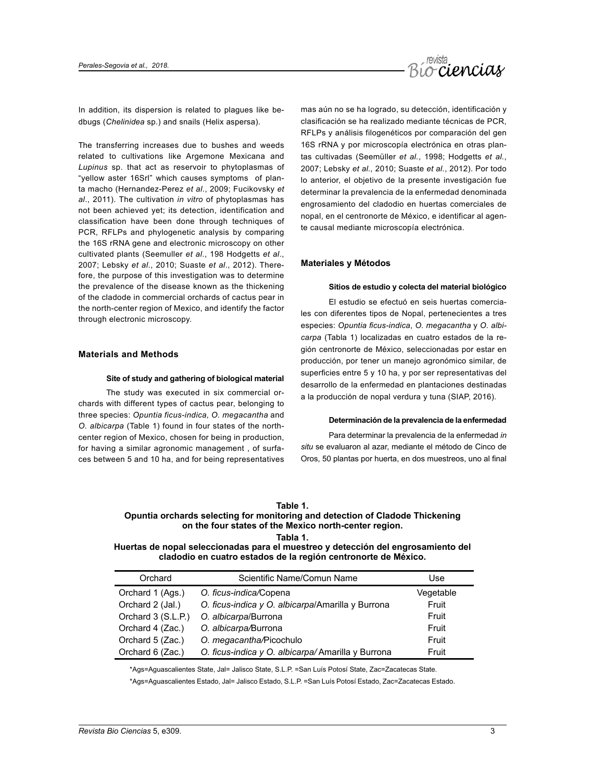

In addition, its dispersion is related to plagues like bedbugs (*Chelinidea* sp.) and snails (Helix aspersa).

The transferring increases due to bushes and weeds related to cultivations like Argemone Mexicana and *Lupinus* sp. that act as reservoir to phytoplasmas of "yellow aster 16Srl" which causes symptoms of planta macho (Hernandez-Perez *et al*., 2009; Fucikovsky *et al*., 2011). The cultivation *in vitro* of phytoplasmas has not been achieved yet; its detection, identification and classification have been done through techniques of PCR, RFLPs and phylogenetic analysis by comparing the 16S rRNA gene and electronic microscopy on other cultivated plants (Seemuller *et al*., 198 Hodgetts *et al*., 2007; Lebsky *et al*., 2010; Suaste *et al*., 2012). Therefore, the purpose of this investigation was to determine the prevalence of the disease known as the thickening of the cladode in commercial orchards of cactus pear in the north-center region of Mexico, and identify the factor through electronic microscopy.

# **Materials and Methods**

#### **Site of study and gathering of biological material**

The study was executed in six commercial orchards with different types of cactus pear, belonging to three species: *Opuntia ficus-indica, O. megacantha* and *O. albicarpa* (Table 1) found in four states of the northcenter region of Mexico, chosen for being in production, for having a similar agronomic management , of surfaces between 5 and 10 ha, and for being representatives mas aún no se ha logrado, su detección, identificación y clasificación se ha realizado mediante técnicas de PCR, RFLPs y análisis filogenéticos por comparación del gen 16S rRNA y por microscopía electrónica en otras plantas cultivadas (Seemüller *et al.*, 1998; Hodgetts *et al.*, 2007; Lebsky *et al.,* 2010; Suaste *et al.*, 2012). Por todo lo anterior, el objetivo de la presente investigación fue determinar la prevalencia de la enfermedad denominada engrosamiento del cladodio en huertas comerciales de nopal, en el centronorte de México, e identificar al agente causal mediante microscopía electrónica.

### **Materiales y Métodos**

#### **Sitios de estudio y colecta del material biológico**

El estudio se efectuó en seis huertas comerciales con diferentes tipos de Nopal, pertenecientes a tres especies: *Opuntia ficus-indica*, *O. megacantha* y *O. albicarpa* (Tabla 1) localizadas en cuatro estados de la región centronorte de México, seleccionadas por estar en producción, por tener un manejo agronómico similar, de superficies entre 5 y 10 ha, y por ser representativas del desarrollo de la enfermedad en plantaciones destinadas a la producción de nopal verdura y tuna (SIAP, 2016).

#### **Determinación de la prevalencia de la enfermedad**

Para determinar la prevalencia de la enfermedad *in situ* se evaluaron al azar, mediante el método de Cinco de Oros, 50 plantas por huerta, en dos muestreos, uno al final

| Table |  |
|-------|--|
|-------|--|

# **Opuntia orchards selecting for monitoring and detection of Cladode Thickening on the four states of the Mexico north-center region.**

**Tabla 1.**

**Huertas de nopal seleccionadas para el muestreo y detección del engrosamiento del cladodio en cuatro estados de la región centronorte de México.**

| Orchard            | Scientific Name/Comun Name                        | Use       |
|--------------------|---------------------------------------------------|-----------|
| Orchard 1 (Ags.)   | O. ficus-indica/Copena                            | Vegetable |
| Orchard 2 (Jal.)   | O. ficus-indica y O. albicarpa/Amarilla y Burrona | Fruit     |
| Orchard 3 (S.L.P.) | O. albicarpa/Burrona                              | Fruit     |
| Orchard 4 (Zac.)   | O. albicarpa/Burrona                              | Fruit     |
| Orchard 5 (Zac.)   | O. megacantha/Picochulo                           | Fruit     |
| Orchard 6 (Zac.)   | O. ficus-indica y O. albicarpa/Amarilla y Burrona | Fruit     |

\*Ags=Aguascalientes State, Jal= Jalisco State, S.L.P. =San Luís Potosí State, Zac=Zacatecas State.

\*Ags=Aguascalientes Estado, Jal= Jalisco Estado, S.L.P. =San Luís Potosí Estado, Zac=Zacatecas Estado.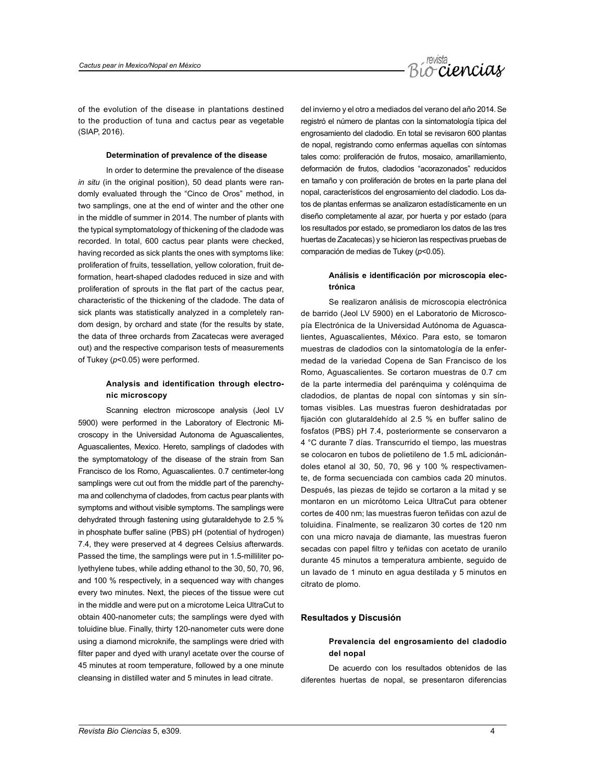

of the evolution of the disease in plantations destined to the production of tuna and cactus pear as vegetable (SIAP, 2016).

#### **Determination of prevalence of the disease**

In order to determine the prevalence of the disease *in situ* (in the original position), 50 dead plants were randomly evaluated through the "Cinco de Oros" method, in two samplings, one at the end of winter and the other one in the middle of summer in 2014. The number of plants with the typical symptomatology of thickening of the cladode was recorded. In total, 600 cactus pear plants were checked, having recorded as sick plants the ones with symptoms like: proliferation of fruits, tessellation, yellow coloration, fruit deformation, heart-shaped cladodes reduced in size and with proliferation of sprouts in the flat part of the cactus pear, characteristic of the thickening of the cladode. The data of sick plants was statistically analyzed in a completely random design, by orchard and state (for the results by state, the data of three orchards from Zacatecas were averaged out) and the respective comparison tests of measurements of Tukey (*p*<0.05) were performed.

# **Analysis and identification through electronic microscopy**

Scanning electron microscope analysis (Jeol LV 5900) were performed in the Laboratory of Electronic Microscopy in the Universidad Autonoma de Aguascalientes, Aguascalientes, Mexico. Hereto, samplings of cladodes with the symptomatology of the disease of the strain from San Francisco de los Romo, Aguascalientes. 0.7 centimeter-long samplings were cut out from the middle part of the parenchyma and collenchyma of cladodes, from cactus pear plants with symptoms and without visible symptoms. The samplings were dehydrated through fastening using glutaraldehyde to 2.5 % in phosphate buffer saline (PBS) pH (potential of hydrogen) 7.4, they were preserved at 4 degrees Celsius afterwards. Passed the time, the samplings were put in 1.5-milliliter polyethylene tubes, while adding ethanol to the 30, 50, 70, 96, and 100 % respectively, in a sequenced way with changes every two minutes. Next, the pieces of the tissue were cut in the middle and were put on a microtome Leica UltraCut to obtain 400-nanometer cuts; the samplings were dyed with toluidine blue. Finally, thirty 120-nanometer cuts were done using a diamond microknife, the samplings were dried with filter paper and dyed with uranyl acetate over the course of 45 minutes at room temperature, followed by a one minute cleansing in distilled water and 5 minutes in lead citrate.

del invierno y el otro a mediados del verano del año 2014. Se registró el número de plantas con la sintomatología típica del engrosamiento del cladodio. En total se revisaron 600 plantas de nopal, registrando como enfermas aquellas con síntomas tales como: proliferación de frutos, mosaico, amarillamiento, deformación de frutos, cladodios "acorazonados" reducidos en tamaño y con proliferación de brotes en la parte plana del nopal, característicos del engrosamiento del cladodio. Los datos de plantas enfermas se analizaron estadísticamente en un diseño completamente al azar, por huerta y por estado (para los resultados por estado, se promediaron los datos de las tres huertas de Zacatecas) y se hicieron las respectivas pruebas de comparación de medias de Tukey (*p*<0.05).

# **Análisis e identificación por microscopía electrónica**

Se realizaron análisis de microscopia electrónica de barrido (Jeol LV 5900) en el Laboratorio de Microscopía Electrónica de la Universidad Autónoma de Aguascalientes, Aguascalientes, México. Para esto, se tomaron muestras de cladodios con la sintomatología de la enfermedad de la variedad Copena de San Francisco de los Romo, Aguascalientes. Se cortaron muestras de 0.7 cm de la parte intermedia del parénquima y colénquima de cladodios, de plantas de nopal con síntomas y sin síntomas visibles. Las muestras fueron deshidratadas por fijación con glutaraldehído al 2.5 % en buffer salino de fosfatos (PBS) pH 7.4, posteriormente se conservaron a 4 °C durante 7 días. Transcurrido el tiempo, las muestras se colocaron en tubos de polietileno de 1.5 mL adicionándoles etanol al 30, 50, 70, 96 y 100 % respectivamente, de forma secuenciada con cambios cada 20 minutos. Después, las piezas de tejido se cortaron a la mitad y se montaron en un micrótomo Leica UltraCut para obtener cortes de 400 nm; las muestras fueron teñidas con azul de toluidina. Finalmente, se realizaron 30 cortes de 120 nm con una micro navaja de diamante, las muestras fueron secadas con papel filtro y teñidas con acetato de uranilo durante 45 minutos a temperatura ambiente, seguido de un lavado de 1 minuto en agua destilada y 5 minutos en citrato de plomo.

### **Resultados y Discusión**

# **Prevalencia del engrosamiento del cladodio del nopal**

De acuerdo con los resultados obtenidos de las diferentes huertas de nopal, se presentaron diferencias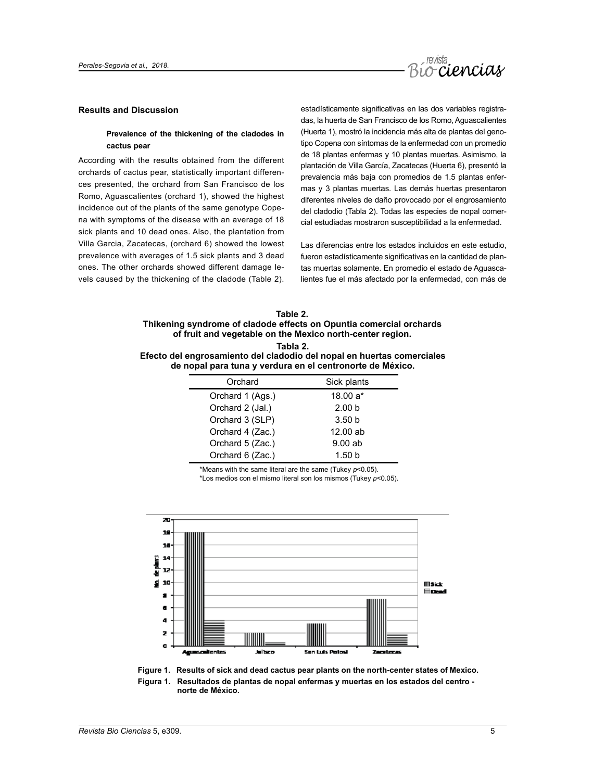

# **Results and Discussion**

# **Prevalence of the thickening of the cladodes in cactus pear**

According with the results obtained from the different orchards of cactus pear, statistically important differences presented, the orchard from San Francisco de los Romo, Aguascalientes (orchard 1), showed the highest incidence out of the plants of the same genotype Copena with symptoms of the disease with an average of 18 sick plants and 10 dead ones. Also, the plantation from Villa Garcia, Zacatecas, (orchard 6) showed the lowest prevalence with averages of 1.5 sick plants and 3 dead ones. The other orchards showed different damage levels caused by the thickening of the cladode (Table 2).

estadísticamente significativas en las dos variables registradas, la huerta de San Francisco de los Romo, Aguascalientes (Huerta 1), mostró la incidencia más alta de plantas del genotipo Copena con síntomas de la enfermedad con un promedio de 18 plantas enfermas y 10 plantas muertas. Asimismo, la plantación de Villa García, Zacatecas (Huerta 6), presentó la prevalencia más baja con promedios de 1.5 plantas enfermas y 3 plantas muertas. Las demás huertas presentaron diferentes niveles de daño provocado por el engrosamiento del cladodio (Tabla 2). Todas las especies de nopal comercial estudiadas mostraron susceptibilidad a la enfermedad.

Las diferencias entre los estados incluidos en este estudio, fueron estadísticamente significativas en la cantidad de plantas muertas solamente. En promedio el estado de Aguascalientes fue el más afectado por la enfermedad, con más de

| Table 2.                                                                                                       |
|----------------------------------------------------------------------------------------------------------------|
| Thikening syndrome of cladode effects on Opuntia comercial orchards                                            |
| of fruit and vegetable on the Mexico north-center region.                                                      |
| Tabla 2.                                                                                                       |
| Efecto del engrosamiento del cladodio del nopal en huertas comerciales                                         |
| tal de la constitución de la constitución de la constitución de la constitución de la manda de la constitución |

**de nopal para tuna y verdura en el centronorte de México.**

| Orchard          | Sick plants       |
|------------------|-------------------|
| Orchard 1 (Ags.) | $18.00 a*$        |
| Orchard 2 (Jal.) | 2.00 <sub>b</sub> |
| Orchard 3 (SLP)  | 3.50 <sub>b</sub> |
| Orchard 4 (Zac.) | 12.00 ab          |
| Orchard 5 (Zac.) | 9.00ab            |
| Orchard 6 (Zac.) | 1.50h             |

\*Means with the same literal are the same (Tukey *p*<0.05).

\*Los medios con el mismo literal son los mismos (Tukey *p*<0.05).



**Figure 1. Results of sick and dead cactus pear plants on the north-center states of Mexico.**

**Figura 1. Resultados de plantas de nopal enfermas y muertas en los estados del centro norte de México.**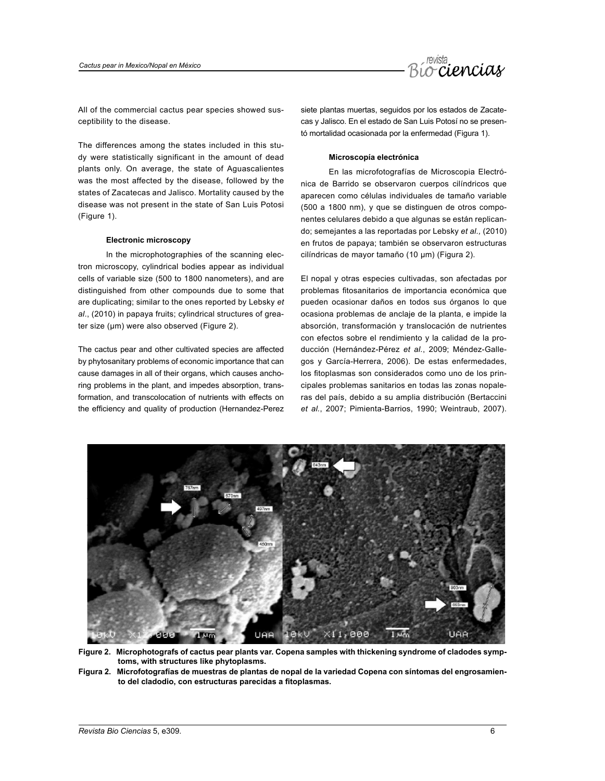

All of the commercial cactus pear species showed susceptibility to the disease.

The differences among the states included in this study were statistically significant in the amount of dead plants only. On average, the state of Aguascalientes was the most affected by the disease, followed by the states of Zacatecas and Jalisco. Mortality caused by the disease was not present in the state of San Luis Potosi (Figure 1).

### **Electronic microscopy**

In the microphotographies of the scanning electron microscopy, cylindrical bodies appear as individual cells of variable size (500 to 1800 nanometers), and are distinguished from other compounds due to some that are duplicating; similar to the ones reported by Lebsky *et al*., (2010) in papaya fruits; cylindrical structures of greater size (µm) were also observed (Figure 2).

The cactus pear and other cultivated species are affected by phytosanitary problems of economic importance that can cause damages in all of their organs, which causes anchoring problems in the plant, and impedes absorption, transformation, and transcolocation of nutrients with effects on the efficiency and quality of production (Hernandez-Perez siete plantas muertas, seguidos por los estados de Zacatecas y Jalisco. En el estado de San Luis Potosí no se presentó mortalidad ocasionada por la enfermedad (Figura 1).

#### **Microscopía electrónica**

En las microfotografías de Microscopia Electrónica de Barrido se observaron cuerpos cilíndricos que aparecen como células individuales de tamaño variable (500 a 1800 nm), y que se distinguen de otros componentes celulares debido a que algunas se están replicando; semejantes a las reportadas por Lebsky *et al.,* (2010) en frutos de papaya; también se observaron estructuras cilíndricas de mayor tamaño (10 µm) (Figura 2).

El nopal y otras especies cultivadas, son afectadas por problemas fitosanitarios de importancia económica que pueden ocasionar daños en todos sus órganos lo que ocasiona problemas de anclaje de la planta, e impide la absorción, transformación y translocación de nutrientes con efectos sobre el rendimiento y la calidad de la producción (Hernández-Pérez *et al.*, 2009; Méndez-Gallegos y García-Herrera, 2006). De estas enfermedades, los fitoplasmas son considerados como uno de los principales problemas sanitarios en todas las zonas nopaleras del país, debido a su amplia distribución (Bertaccini *et al.*, 2007; Pimienta-Barrios, 1990; Weintraub, 2007).



**Figure 2. Microphotografs of cactus pear plants var. Copena samples with thickening syndrome of cladodes symp toms, with structures like phytoplasms.**

**Figura 2. Microfotografías de muestras de plantas de nopal de la variedad Copena con síntomas del engrosamien to del cladodio, con estructuras parecidas a fitoplasmas.**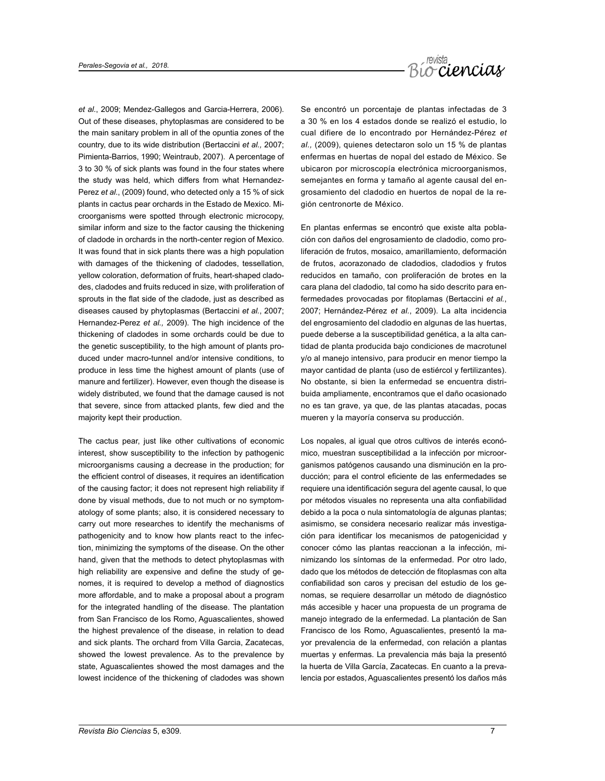

*et al.*, 2009; Mendez-Gallegos and Garcia-Herrera, 2006). Out of these diseases, phytoplasmas are considered to be the main sanitary problem in all of the opuntia zones of the country, due to its wide distribution (Bertaccini *et al.,* 2007; Pimienta-Barrios, 1990; Weintraub, 2007). A percentage of 3 to 30 % of sick plants was found in the four states where the study was held, which differs from what Hernandez-Perez *et al*., (2009) found, who detected only a 15 % of sick plants in cactus pear orchards in the Estado de Mexico. Microorganisms were spotted through electronic microcopy, similar inform and size to the factor causing the thickening of cladode in orchards in the north-center region of Mexico. It was found that in sick plants there was a high population with damages of the thickening of cladodes, tessellation, yellow coloration, deformation of fruits, heart-shaped cladodes, cladodes and fruits reduced in size, with proliferation of sprouts in the flat side of the cladode, just as described as diseases caused by phytoplasmas (Bertaccini *et al.*, 2007; Hernandez-Perez *et al.,* 2009). The high incidence of the thickening of cladodes in some orchards could be due to the genetic susceptibility, to the high amount of plants produced under macro-tunnel and/or intensive conditions, to produce in less time the highest amount of plants (use of manure and fertilizer). However, even though the disease is widely distributed, we found that the damage caused is not that severe, since from attacked plants, few died and the majority kept their production.

The cactus pear, just like other cultivations of economic interest, show susceptibility to the infection by pathogenic microorganisms causing a decrease in the production; for the efficient control of diseases, it requires an identification of the causing factor; it does not represent high reliability if done by visual methods, due to not much or no symptomatology of some plants; also, it is considered necessary to carry out more researches to identify the mechanisms of pathogenicity and to know how plants react to the infection, minimizing the symptoms of the disease. On the other hand, given that the methods to detect phytoplasmas with high reliability are expensive and define the study of genomes, it is required to develop a method of diagnostics more affordable, and to make a proposal about a program for the integrated handling of the disease. The plantation from San Francisco de los Romo, Aguascalientes, showed the highest prevalence of the disease, in relation to dead and sick plants. The orchard from Villa Garcia, Zacatecas, showed the lowest prevalence. As to the prevalence by state, Aguascalientes showed the most damages and the lowest incidence of the thickening of cladodes was shown

Se encontró un porcentaje de plantas infectadas de 3 a 30 % en los 4 estados donde se realizó el estudio, lo cual difiere de lo encontrado por Hernández-Pérez *et al.,* (2009), quienes detectaron solo un 15 % de plantas enfermas en huertas de nopal del estado de México. Se ubicaron por microscopía electrónica microorganismos, semejantes en forma y tamaño al agente causal del engrosamiento del cladodio en huertos de nopal de la región centronorte de México.

En plantas enfermas se encontró que existe alta población con daños del engrosamiento de cladodio, como proliferación de frutos, mosaico, amarillamiento, deformación de frutos, *a*corazonado de cladodios, cladodios y frutos reducidos en tamaño, con proliferación de brotes en la cara plana del cladodio, tal como ha sido descrito para enfermedades provocadas por fitoplamas (Bertaccini *et al.*, 2007; Hernández-Pérez *et al.*, 2009). La alta incidencia del engrosamiento del cladodio en algunas de las huertas, puede deberse a la susceptibilidad genética, a la alta cantidad de planta producida bajo condiciones de macrotunel y/o al manejo intensivo, para producir en menor tiempo la mayor cantidad de planta (uso de estiércol y fertilizantes). No obstante, si bien la enfermedad se encuentra distribuida ampliamente, encontramos que el daño ocasionado no es tan grave, ya que, de las plantas atacadas, pocas mueren y la mayoría conserva su producción.

Los nopales, al igual que otros cultivos de interés económico, muestran susceptibilidad a la infección por microorganismos patógenos causando una disminución en la producción; para el control eficiente de las enfermedades se requiere una identificación segura del agente causal, lo que por métodos visuales no representa una alta confiabilidad debido a la poca o nula sintomatología de algunas plantas; asimismo, se considera necesario realizar más investigación para identificar los mecanismos de patogenicidad y conocer cómo las plantas reaccionan a la infección, minimizando los síntomas de la enfermedad. Por otro lado, dado que los métodos de detección de fitoplasmas con alta confiabilidad son caros y precisan del estudio de los genomas, se requiere desarrollar un método de diagnóstico más accesible y hacer una propuesta de un programa de manejo integrado de la enfermedad. La plantación de San Francisco de los Romo, Aguascalientes, presentó la mayor prevalencia de la enfermedad, con relación a plantas muertas y enfermas. La prevalencia más baja la presentó la huerta de Villa García, Zacatecas. En cuanto a la prevalencia por estados, Aguascalientes presentó los daños más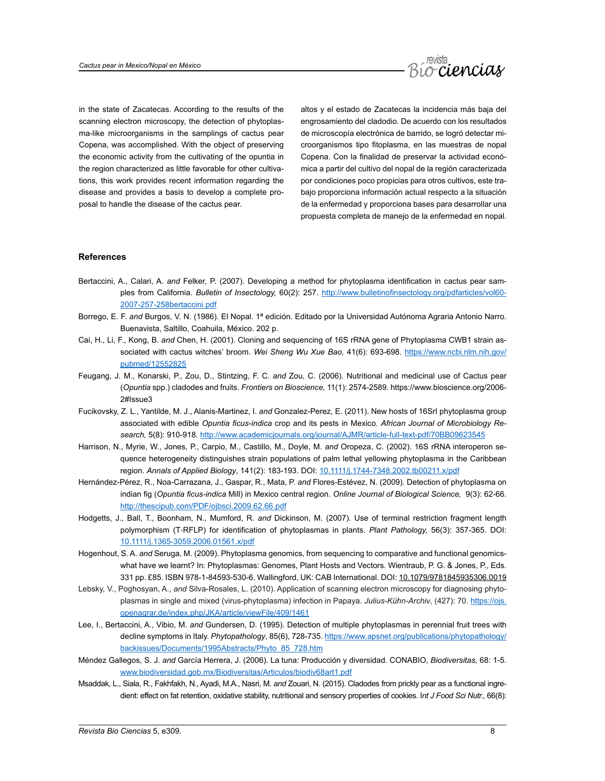

in the state of Zacatecas. According to the results of the scanning electron microscopy, the detection of phytoplasma-like microorganisms in the samplings of cactus pear Copena, was accomplished. With the object of preserving the economic activity from the cultivating of the opuntia in the region characterized as little favorable for other cultivations, this work provides recent information regarding the disease and provides a basis to develop a complete proposal to handle the disease of the cactus pear.

altos y el estado de Zacatecas la incidencia más baja del engrosamiento del cladodio. De acuerdo con los resultados de microscopía electrónica de barrido, se logró detectar microorganismos tipo fitoplasma, en las muestras de nopal Copena. Con la finalidad de preservar la actividad económica a partir del cultivo del nopal de la región caracterizada por condiciones poco propicias para otros cultivos, este trabajo proporciona información actual respecto a la situación de la enfermedad y proporciona bases para desarrollar una propuesta completa de manejo de la enfermedad en nopal.

### **References**

- Bertaccini, A., Calari, A. *and* Felker, P. (2007). Developing a method for phytoplasma identification in cactus pear samples from California. *Bulletin of Insectology,* 60(2): 257. [http://www.bulletinofinsectology.org/pdfarticles/vol60-](http://www.bulletinofinsectology.org/pdfarticles/vol60-2007-257-258bertaccini.pdf) [2007-257-258bertaccini.pdf](http://www.bulletinofinsectology.org/pdfarticles/vol60-2007-257-258bertaccini.pdf)
- Borrego, E. F. *and* Burgos, V. N. (1986). El Nopal. 1ª edición. Editado por la Universidad Autónoma Agraria Antonio Narro. Buenavista, Saltillo, Coahuila, México. 202 p.
- Cai, H., Li, F., Kong, B. *and* Chen, H. (2001). Cloning and sequencing of 16S rRNA gene of Phytoplasma CWB1 strain associated with cactus witches' broom. *Wei Sheng Wu Xue Bao,* 41(6): 693-698. [https://www.ncbi.nlm.nih.gov/](https://www.ncbi.nlm.nih.gov/pubmed/12552825) [pubmed/12552825](https://www.ncbi.nlm.nih.gov/pubmed/12552825)
- Feugang, J. M., Konarski, P., Zou, D., Stintzing, F. C. *and* Zou, C. (2006). Nutritional and medicinal use of Cactus pear (*Opuntia* spp.) cladodes and fruits. *Frontiers on Bioscience,* 11(1): 2574-2589. https://www.bioscience.org/2006- 2#Issue3
- Fucikovsky, Z. L., Yantilde, M. J., Alanis-Martinez, I. *and* Gonzalez-Perez, E. (2011). New hosts of 16SrI phytoplasma group associated with edible *Opuntia ficus-indica* crop and its pests in Mexico. *African Journal of Microbiology Research,* 5(8): 910-918. <http://www.academicjournals.org/journal/AJMR/article-full-text-pdf/70BB09623545>
- Harrison, N., Myrie, W., Jones, P., Carpio, M., Castillo, M., Doyle, M. *and* Oropeza, C. (2002). 16S rRNA interoperon sequence heterogeneity distinguishes strain populations of palm lethal yellowing phytoplasma in the Caribbean region. *Annals of Applied Biology*, 141(2): 183-193. DOI: [10.1111/j.1744-7348.2002.tb00211.x/pdf](http://onlinelibrary.wiley.com/doi/10.1111/j.1744-7348.2002.tb00211.x/abstract)
- Hernández-Pérez, R., Noa-Carrazana, J., Gaspar, R., Mata, P. *and* Flores-Estévez, N. (2009). Detection of phytoplasma on indian fig (*Opuntia ficus-indica* Mill) in Mexico central region. *Online Journal of Biological Science,* 9(3): 62-66. <http://thescipub.com/PDF/ojbsci.2009.62.66.pdf>
- Hodgetts, J., Ball, T., Boonham, N., Mumford, R. *and* Dickinson, M. (2007). Use of terminal restriction fragment length polymorphism (T‐RFLP) for identification of phytoplasmas in plants. *Plant Pathology,* 56(3): 357-365. DOI: [10.1111/j.1365-3059.2006.01561.x/pdf](http://onlinelibrary.wiley.com/doi/10.1111/j.1365-3059.2006.01561.x/abstract)
- Hogenhout, S. A. *and* Seruga, M. (2009). Phytoplasma genomics, from sequencing to comparative and functional genomicswhat have we learnt? In: Phytoplasmas: Genomes, Plant Hosts and Vectors. Wientraub, P. G. & Jones, P., Eds. 331 pp. £85. ISBN 978-1-84593-530-6. Wallingford, UK: CAB International. DOI: [10.1079/9781845935306.0019](http://dx.doi.org/10.1079/9781845935306.0019)
- Lebsky, V., Poghosyan, A., *and* Silva-Rosales, L. (2010). Application of scanning electron microscopy for diagnosing phytoplasmas in single and mixed (virus-phytoplasma) infection in Papaya. *Julius-Kühn-Archiv*, (427): 70. [https://ojs.](https://ojs.openagrar.de/index.php/JKA/article/viewFile/409/1461) [openagrar.de/index.php/JKA/article/viewFile/409/1461](https://ojs.openagrar.de/index.php/JKA/article/viewFile/409/1461)
- Lee, I., Bertaccini, A., Vibio, M. *and* Gundersen, D. (1995). Detection of multiple phytoplasmas in perennial fruit trees with decline symptoms in Italy. *Phytopathology*, 85(6), 728-735. [https://www.apsnet.org/publications/phytopathology/](https://www.apsnet.org/publications/phytopathology/backissues/Documents/1995Abstracts/Phyto_85_728.htm) [backissues/Documents/1995Abstracts/Phyto\\_85\\_728.htm](https://www.apsnet.org/publications/phytopathology/backissues/Documents/1995Abstracts/Phyto_85_728.htm)
- Méndez Gallegos, S. J. *and* García Herrera, J. (2006). La tuna: Producción y diversidad. CONABIO, *Biodiversitas,* 68: 1-5. [www.biodiversidad.gob.mx/Biodiversitas/Articulos/biodiv68art1.pdf](http://www.biodiversidad.gob.mx/Biodiversitas/Articulos/biodiv68art1.pdf)
- Msaddak, L., Siala, R., Fakhfakh, N., Ayadi, M.A., Nasri, M. *and* Zouari, N. (2015). Cladodes from prickly pear as a functional ingredient: effect on fat retention, oxidative stability, nutritional and sensory properties of cookies. I*nt J Food Sci Nutr.,* 66(8):